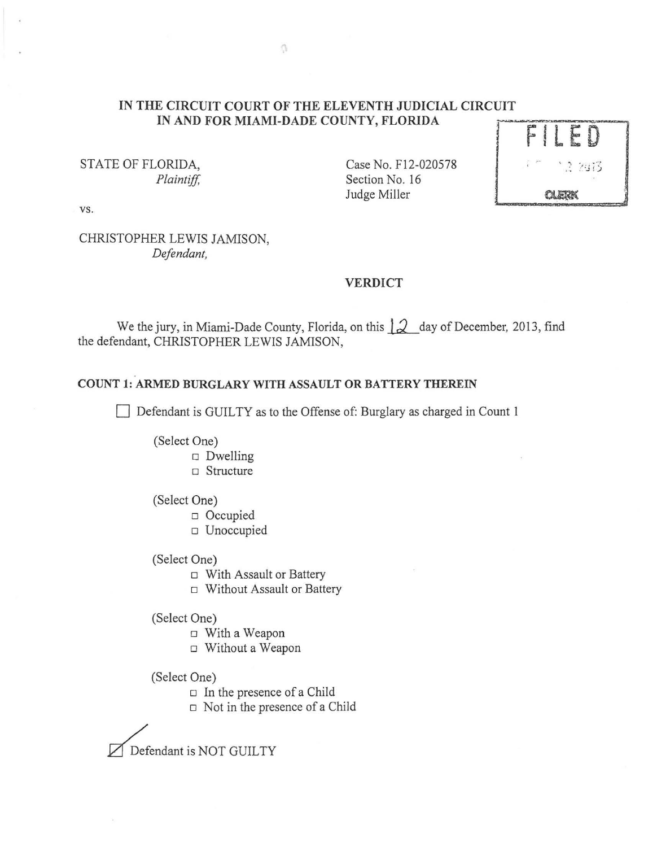### **IN THE CIRCUIT COURT OF THE ELEVENTH JUDICIAL CIRCUIT IN AND FOR MIAMI-DADE COUNTY, FLORIDA**

STATE OF FLORIDA, *Plaintiff,*  Case No. F12-020578 Section No. 16 Judge Miller



vs.

CHRISTOPHER LEWIS JAMISON, *Defendant,* 

#### **VERDICT**

We the jury, in Miami-Dade County, Florida, on this  $|2 \text{ day of December, 2013, find}$ the defendant, CHRISTOPHER LEWIS JAMISON,

## **COUNT 1: ARMED BURGLARY WITH ASSAULT OR BATTERY THEREIN**

Defendant is GUILTY as to the Offense of: Burglary as charged in Count 1

- (Select One)
	- $\square$  Dwelling
	- o Structure

#### (Select One)

- o Occupied
- o Unoccupied

(Select One)

- o With Assault or Battery
- o Without Assault or Battery
- (Select One)
	- o With a Weapon
	- o Without a Weapon
- (Select One)
	- $\Box$  In the presence of a Child
	- $\Box$  Not in the presence of a Child

Defendant is NOT GUILTY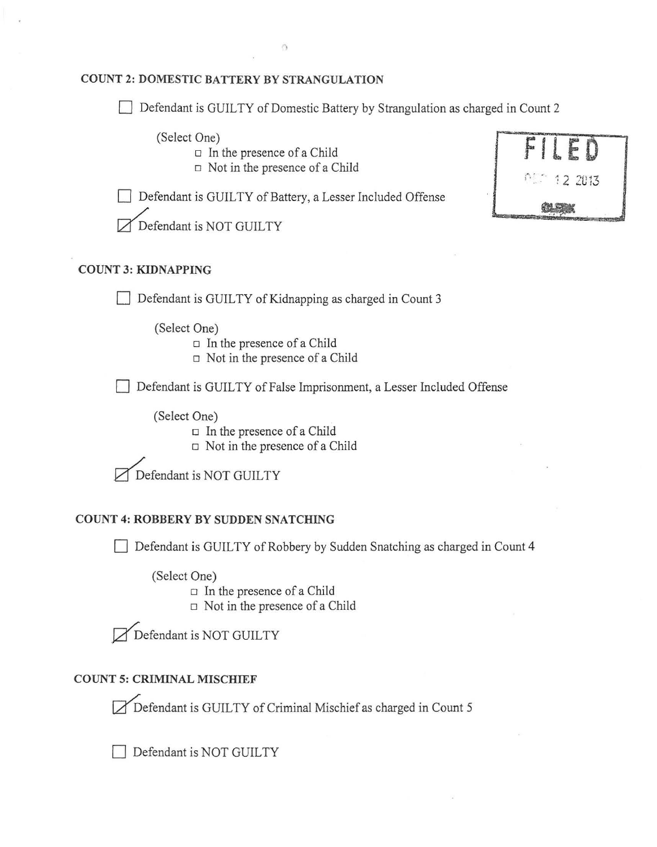### **COUNT 2: DOMESTIC BATTERY BY STRANGULATION**

 $\Box$  Defendant is GUILTY of Domestic Battery by Strangulation as charged in Count 2

(Select One)

- $\Box$  In the presence of a Child
- $\Box$  Not in the presence of a Child

Defendant is GUILTY of Battery, a Lesser Included Offense

**FIlE 0** 

Defendant is NOT GUILTY

# **COUNT 3: KIDNAPPING**

Defendant is GUILTY of Kidnapping as charged in Count 3

(Select One)

 $\Box$  In the presence of a Child

 $\Box$  Not in the presence of a Child

**Defendant is GUILTY of False Imprisonment, a Lesser Included Offense** 

(Select One)

 $\Box$  In the presence of a Child

 $\Box$  Not in the presence of a Child

Defendant is NOT GUILTY

# **COUNT 4: ROBBERY BY SUDDEN SNATCHING**

Defendant is GUILTY of Robbery by Sudden Snatching as charged in Count 4

(Select One)

 $\Box$  In the presence of a Child

 $\Box$  Not in the presence of a Child

Defendant is NOT GUILTY

# **COUNT 5: CRIMINAL MISCHIEF**

Defendant is GUILTY of Criminal Mischief as charged in Count 5

Defendant is NOT GUILTY